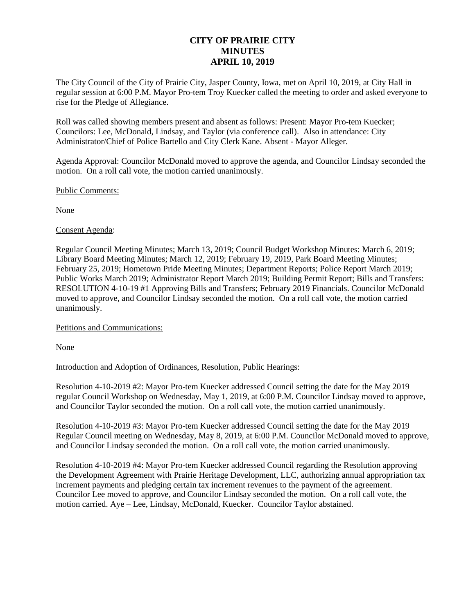# **CITY OF PRAIRIE CITY MINUTES APRIL 10, 2019**

The City Council of the City of Prairie City, Jasper County, Iowa, met on April 10, 2019, at City Hall in regular session at 6:00 P.M. Mayor Pro-tem Troy Kuecker called the meeting to order and asked everyone to rise for the Pledge of Allegiance.

Roll was called showing members present and absent as follows: Present: Mayor Pro-tem Kuecker; Councilors: Lee, McDonald, Lindsay, and Taylor (via conference call). Also in attendance: City Administrator/Chief of Police Bartello and City Clerk Kane. Absent - Mayor Alleger.

Agenda Approval: Councilor McDonald moved to approve the agenda, and Councilor Lindsay seconded the motion. On a roll call vote, the motion carried unanimously.

Public Comments:

None

### Consent Agenda:

Regular Council Meeting Minutes; March 13, 2019; Council Budget Workshop Minutes: March 6, 2019; Library Board Meeting Minutes; March 12, 2019; February 19, 2019, Park Board Meeting Minutes; February 25, 2019; Hometown Pride Meeting Minutes; Department Reports; Police Report March 2019; Public Works March 2019; Administrator Report March 2019; Building Permit Report; Bills and Transfers: RESOLUTION 4-10-19 #1 Approving Bills and Transfers; February 2019 Financials. Councilor McDonald moved to approve, and Councilor Lindsay seconded the motion. On a roll call vote, the motion carried unanimously.

Petitions and Communications:

None

Introduction and Adoption of Ordinances, Resolution, Public Hearings:

Resolution 4-10-2019 #2: Mayor Pro-tem Kuecker addressed Council setting the date for the May 2019 regular Council Workshop on Wednesday, May 1, 2019, at 6:00 P.M. Councilor Lindsay moved to approve, and Councilor Taylor seconded the motion. On a roll call vote, the motion carried unanimously.

Resolution 4-10-2019 #3: Mayor Pro-tem Kuecker addressed Council setting the date for the May 2019 Regular Council meeting on Wednesday, May 8, 2019, at 6:00 P.M. Councilor McDonald moved to approve, and Councilor Lindsay seconded the motion. On a roll call vote, the motion carried unanimously.

Resolution 4-10-2019 #4: Mayor Pro-tem Kuecker addressed Council regarding the Resolution approving the Development Agreement with Prairie Heritage Development, LLC, authorizing annual appropriation tax increment payments and pledging certain tax increment revenues to the payment of the agreement. Councilor Lee moved to approve, and Councilor Lindsay seconded the motion. On a roll call vote, the motion carried. Aye – Lee, Lindsay, McDonald, Kuecker. Councilor Taylor abstained.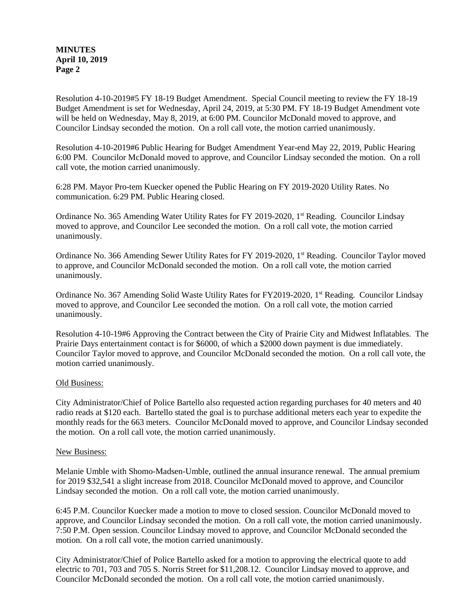## **MINUTES April 10, 2019 Page 2**

Resolution 4-10-2019#5 FY 18-19 Budget Amendment. Special Council meeting to review the FY 18-19 Budget Amendment is set for Wednesday, April 24, 2019, at 5:30 PM. FY 18-19 Budget Amendment vote will be held on Wednesday, May 8, 2019, at 6:00 PM. Councilor McDonald moved to approve, and Councilor Lindsay seconded the motion. On a roll call vote, the motion carried unanimously.

Resolution 4-10-2019#6 Public Hearing for Budget Amendment Year-end May 22, 2019, Public Hearing 6:00 PM. Councilor McDonald moved to approve, and Councilor Lindsay seconded the motion. On a roll call vote, the motion carried unanimously.

6:28 PM. Mayor Pro-tem Kuecker opened the Public Hearing on FY 2019-2020 Utility Rates. No communication. 6:29 PM. Public Hearing closed.

Ordinance No. 365 Amending Water Utility Rates for FY 2019-2020, 1<sup>st</sup> Reading. Councilor Lindsay moved to approve, and Councilor Lee seconded the motion. On a roll call vote, the motion carried unanimously.

Ordinance No. 366 Amending Sewer Utility Rates for FY 2019-2020, 1<sup>st</sup> Reading. Councilor Taylor moved to approve, and Councilor McDonald seconded the motion. On a roll call vote, the motion carried unanimously.

Ordinance No. 367 Amending Solid Waste Utility Rates for FY2019-2020, 1<sup>st</sup> Reading. Councilor Lindsay moved to approve, and Councilor Lee seconded the motion. On a roll call vote, the motion carried unanimously.

Resolution 4-10-19#6 Approving the Contract between the City of Prairie City and Midwest Inflatables. The Prairie Days entertainment contact is for \$6000, of which a \$2000 down payment is due immediately. Councilor Taylor moved to approve, and Councilor McDonald seconded the motion. On a roll call vote, the motion carried unanimously.

### Old Business:

City Administrator/Chief of Police Bartello also requested action regarding purchases for 40 meters and 40 radio reads at \$120 each. Bartello stated the goal is to purchase additional meters each year to expedite the monthly reads for the 663 meters. Councilor McDonald moved to approve, and Councilor Lindsay seconded the motion. On a roll call vote, the motion carried unanimously.

### New Business:

Melanie Umble with Shomo-Madsen-Umble, outlined the annual insurance renewal. The annual premium for 2019 \$32,541 a slight increase from 2018. Councilor McDonald moved to approve, and Councilor Lindsay seconded the motion. On a roll call vote, the motion carried unanimously.

6:45 P.M. Councilor Kuecker made a motion to move to closed session. Councilor McDonald moved to approve, and Councilor Lindsay seconded the motion. On a roll call vote, the motion carried unanimously. 7:50 P.M. Open session. Councilor Lindsay moved to approve, and Councilor McDonald seconded the motion. On a roll call vote, the motion carried unanimously.

City Administrator/Chief of Police Bartello asked for a motion to approving the electrical quote to add electric to 701, 703 and 705 S. Norris Street for \$11,208.12. Councilor Lindsay moved to approve, and Councilor McDonald seconded the motion. On a roll call vote, the motion carried unanimously.